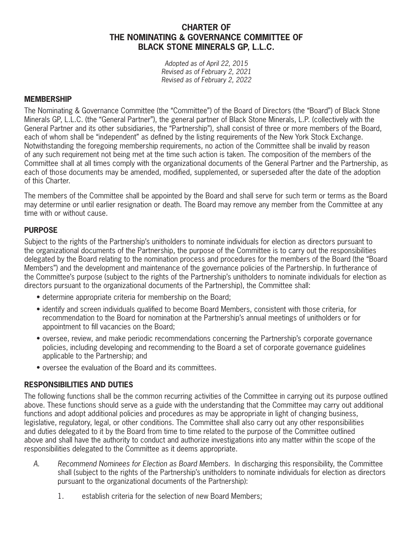# **CHARTER OF THE NOMINATING & GOVERNANCE COMMITTEE OF BLACK STONE MINERALS GP, L.L.C.**

*Adopted as of April 22, 2015 Revised as of February 2, 2021 Revised as of February 2, 2022*

#### **MEMBERSHIP**

The Nominating & Governance Committee (the "Committee") of the Board of Directors (the "Board") of Black Stone Minerals GP, L.L.C. (the "General Partner"), the general partner of Black Stone Minerals, L.P. (collectively with the General Partner and its other subsidiaries, the "Partnership"), shall consist of three or more members of the Board, each of whom shall be "independent" as defined by the listing requirements of the New York Stock Exchange. Notwithstanding the foregoing membership requirements, no action of the Committee shall be invalid by reason of any such requirement not being met at the time such action is taken. The composition of the members of the Committee shall at all times comply with the organizational documents of the General Partner and the Partnership, as each of those documents may be amended, modified, supplemented, or superseded after the date of the adoption of this Charter.

The members of the Committee shall be appointed by the Board and shall serve for such term or terms as the Board may determine or until earlier resignation or death. The Board may remove any member from the Committee at any time with or without cause.

#### **PURPOSE**

Subject to the rights of the Partnership's unitholders to nominate individuals for election as directors pursuant to the organizational documents of the Partnership, the purpose of the Committee is to carry out the responsibilities delegated by the Board relating to the nomination process and procedures for the members of the Board (the "Board Members") and the development and maintenance of the governance policies of the Partnership. In furtherance of the Committee's purpose (subject to the rights of the Partnership's unitholders to nominate individuals for election as directors pursuant to the organizational documents of the Partnership), the Committee shall:

- determine appropriate criteria for membership on the Board;
- identify and screen individuals qualified to become Board Members, consistent with those criteria, for recommendation to the Board for nomination at the Partnership's annual meetings of unitholders or for appointment to fill vacancies on the Board;
- oversee, review, and make periodic recommendations concerning the Partnership's corporate governance policies, including developing and recommending to the Board a set of corporate governance guidelines applicable to the Partnership; and
- oversee the evaluation of the Board and its committees.

## **RESPONSIBILITIES AND DUTIES**

The following functions shall be the common recurring activities of the Committee in carrying out its purpose outlined above. These functions should serve as a guide with the understanding that the Committee may carry out additional functions and adopt additional policies and procedures as may be appropriate in light of changing business, legislative, regulatory, legal, or other conditions. The Committee shall also carry out any other responsibilities and duties delegated to it by the Board from time to time related to the purpose of the Committee outlined above and shall have the authority to conduct and authorize investigations into any matter within the scope of the responsibilities delegated to the Committee as it deems appropriate.

- *A. Recommend Nominees for Election as Board Members.* In discharging this responsibility, the Committee shall (subject to the rights of the Partnership's unitholders to nominate individuals for election as directors pursuant to the organizational documents of the Partnership):
	- 1. establish criteria for the selection of new Board Members;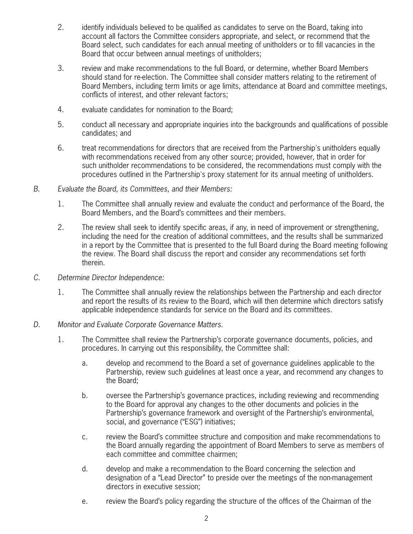- 2. identify individuals believed to be qualified as candidates to serve on the Board, taking into account all factors the Committee considers appropriate, and select, or recommend that the Board select, such candidates for each annual meeting of unitholders or to fill vacancies in the Board that occur between annual meetings of unitholders;
- 3. review and make recommendations to the full Board, or determine, whether Board Members should stand for re-election. The Committee shall consider matters relating to the retirement of Board Members, including term limits or age limits, attendance at Board and committee meetings, conflicts of interest, and other relevant factors;
- 4. evaluate candidates for nomination to the Board;
- 5. conduct all necessary and appropriate inquiries into the backgrounds and qualifications of possible candidates; and
- 6. treat recommendations for directors that are received from the Partnership's unitholders equally with recommendations received from any other source; provided, however, that in order for such unitholder recommendations to be considered, the recommendations must comply with the procedures outlined in the Partnership's proxy statement for its annual meeting of unitholders.
- *B. Evaluate the Board, its Committees, and their Members:*
	- 1. The Committee shall annually review and evaluate the conduct and performance of the Board, the Board Members, and the Board's committees and their members.
	- 2. The review shall seek to identify specific areas, if any, in need of improvement or strengthening, including the need for the creation of additional committees, and the results shall be summarized in a report by the Committee that is presented to the full Board during the Board meeting following the review. The Board shall discuss the report and consider any recommendations set forth therein.
- *C. Determine Director Independence:*
	- 1. The Committee shall annually review the relationships between the Partnership and each director and report the results of its review to the Board, which will then determine which directors satisfy applicable independence standards for service on the Board and its committees.
- *D. Monitor and Evaluate Corporate Governance Matters.*
	- 1. The Committee shall review the Partnership's corporate governance documents, policies, and procedures. In carrying out this responsibility, the Committee shall:
		- a. develop and recommend to the Board a set of governance guidelines applicable to the Partnership, review such guidelines at least once a year, and recommend any changes to the Board;
		- b. oversee the Partnership's governance practices, including reviewing and recommending to the Board for approval any changes to the other documents and policies in the Partnership's governance framework and oversight of the Partnership's environmental, social, and governance ("ESG") initiatives;
		- c. review the Board's committee structure and composition and make recommendations to the Board annually regarding the appointment of Board Members to serve as members of each committee and committee chairmen;
		- d. develop and make a recommendation to the Board concerning the selection and designation of a "Lead Director" to preside over the meetings of the non-management directors in executive session;
		- e. review the Board's policy regarding the structure of the offices of the Chairman of the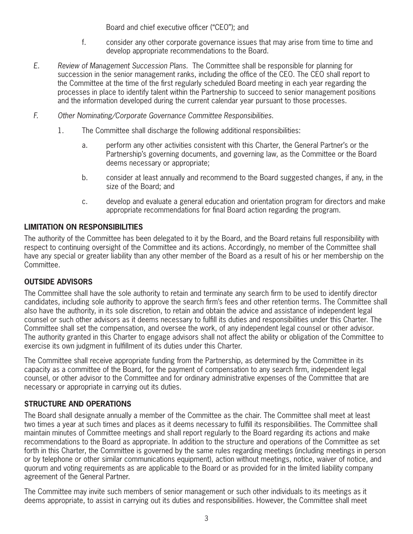Board and chief executive officer ("CEO"); and

- f. consider any other corporate governance issues that may arise from time to time and develop appropriate recommendations to the Board.
- *E. Review of Management Succession Plans.* The Committee shall be responsible for planning for succession in the senior management ranks, including the office of the CEO. The CEO shall report to the Committee at the time of the first regularly scheduled Board meeting in each year regarding the processes in place to identify talent within the Partnership to succeed to senior management positions and the information developed during the current calendar year pursuant to those processes.
- *F. Other Nominating/Corporate Governance Committee Responsibilities.*
	- 1. The Committee shall discharge the following additional responsibilities:
		- a. perform any other activities consistent with this Charter, the General Partner's or the Partnership's governing documents, and governing law, as the Committee or the Board deems necessary or appropriate;
		- b. consider at least annually and recommend to the Board suggested changes, if any, in the size of the Board; and
		- c. develop and evaluate a general education and orientation program for directors and make appropriate recommendations for final Board action regarding the program.

# **LIMITATION ON RESPONSIBILITIES**

The authority of the Committee has been delegated to it by the Board, and the Board retains full responsibility with respect to continuing oversight of the Committee and its actions. Accordingly, no member of the Committee shall have any special or greater liability than any other member of the Board as a result of his or her membership on the Committee.

## **OUTSIDE ADVISORS**

The Committee shall have the sole authority to retain and terminate any search firm to be used to identify director candidates, including sole authority to approve the search firm's fees and other retention terms. The Committee shall also have the authority, in its sole discretion, to retain and obtain the advice and assistance of independent legal counsel or such other advisors as it deems necessary to fulfill its duties and responsibilities under this Charter. The Committee shall set the compensation, and oversee the work, of any independent legal counsel or other advisor. The authority granted in this Charter to engage advisors shall not affect the ability or obligation of the Committee to exercise its own judgment in fulfillment of its duties under this Charter.

The Committee shall receive appropriate funding from the Partnership, as determined by the Committee in its capacity as a committee of the Board, for the payment of compensation to any search firm, independent legal counsel, or other advisor to the Committee and for ordinary administrative expenses of the Committee that are necessary or appropriate in carrying out its duties.

## **STRUCTURE AND OPERATIONS**

The Board shall designate annually a member of the Committee as the chair. The Committee shall meet at least two times a year at such times and places as it deems necessary to fulfill its responsibilities. The Committee shall maintain minutes of Committee meetings and shall report regularly to the Board regarding its actions and make recommendations to the Board as appropriate. In addition to the structure and operations of the Committee as set forth in this Charter, the Committee is governed by the same rules regarding meetings (including meetings in person or by telephone or other similar communications equipment), action without meetings, notice, waiver of notice, and quorum and voting requirements as are applicable to the Board or as provided for in the limited liability company agreement of the General Partner.

The Committee may invite such members of senior management or such other individuals to its meetings as it deems appropriate, to assist in carrying out its duties and responsibilities. However, the Committee shall meet